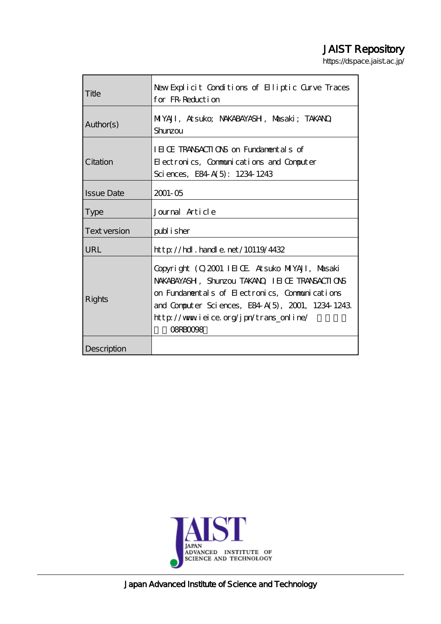# JAIST Repository

https://dspace.jaist.ac.jp/

| Title               | New Explicit Conditions of Elliptic Curve Traces |
|---------------------|--------------------------------------------------|
|                     | for FR Reduction                                 |
|                     |                                                  |
| Author(s)           | MIYAJI, Atsuko; NAKABAYASH, Masaki; TAKANO       |
|                     | Shunzou                                          |
|                     | IEICE TRANSACTIONS on Fundamentals of            |
| Citation            | Electronics, Communications and Computer         |
|                     | Sciences, E84 A(5): 1234 1243                    |
| <b>Issue Date</b>   | $2001 - 05$                                      |
|                     |                                                  |
| <b>Type</b>         | Journal Article                                  |
| <b>Text version</b> | publisher                                        |
| URL                 | $http$ // $hdl$ . handle. net/10119/4432         |
| Rights              |                                                  |
|                     | Copyright (Q2001 IEICE Atsuko MIYAJI, Masaki     |
|                     | NAKABAYASH, Shunzou TAKANO, IEIOE TRANSACTIONS   |
|                     | on Fundamentals of Electronics, Communications   |
|                     | and Computer Sciences, E84 A(5), 2001, 1234 1243 |
|                     | http://www.ieice.org/jpn/trans_online/           |
|                     | <b>OBRBOO98</b>                                  |
|                     |                                                  |
| Description         |                                                  |



Japan Advanced Institute of Science and Technology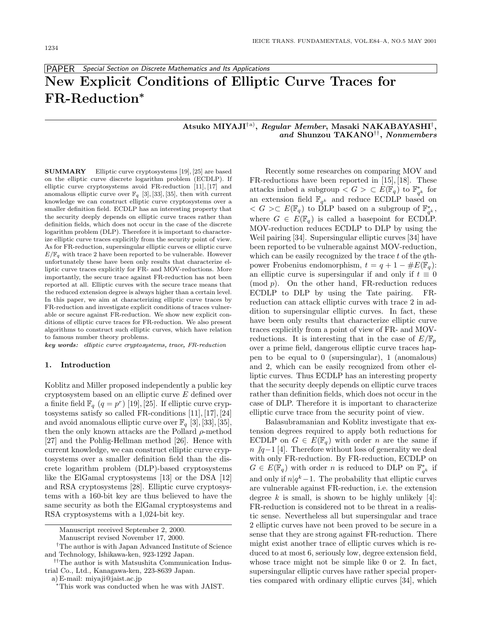PAPER Special Section on Discrete Mathematics and Its Applications

# **New Explicit Conditions of Elliptic Curve Traces for FR-Reduction***<sup>∗</sup>*

# **Atsuko MIYAJI**†a)**,** *Regular Member***, Masaki NAKABAYASHI**†**,** *and* **Shunzou TAKANO**††**,** *Nonmembers*

**SUMMARY** Elliptic curve cryptosystems [19], [25] are based on the elliptic curve discrete logarithm problem (ECDLP). If elliptic curve cryptosystems avoid FR-reduction [11], [17] and anomalous elliptic curve over  $\mathbb{F}_q$  [3], [33], [35], then with current knowledge we can construct elliptic curve cryptosystems over a smaller definition field. ECDLP has an interesting property that the security deeply depends on elliptic curve traces rather than definition fields, which does not occur in the case of the discrete logarithm problem (DLP). Therefore it is important to characterize elliptic curve traces explicitly from the security point of view. As for FR-reduction, supersingular elliptic curves or elliptic curve  $E/\mathbb{F}_q$  with trace 2 have been reported to be vulnerable. However unfortunately these have been only results that characterize elliptic curve traces explicitly for FR- and MOV-reductions. More importantly, the secure trace against FR-reduction has not been reported at all. Elliptic curves with the secure trace means that the reduced extension degree is always higher than a certain level. In this paper, we aim at characterizing elliptic curve traces by FR-reduction and investigate explicit conditions of traces vulnerable or secure against FR-reduction. We show new explicit conditions of elliptic curve traces for FR-reduction. We also present algorithms to construct such elliptic curves, which have relation to famous number theory problems.

**key words:** elliptic curve cryptosystems, trace, FR-reduction

#### **1. Introduction**

Koblitz and Miller proposed independently a public key cryptosystem based on an elliptic curve E defined over a finite field  $\mathbb{F}_q$   $(q = p^r)$  [19], [25]. If elliptic curve cryptosystems satisfy so called FR-conditions [11], [17], [24] and avoid anomalous elliptic curve over  $\mathbb{F}_q$  [3], [33], [35], then the only known attacks are the Pollard  $\rho$ -method [27] and the Pohlig-Hellman method [26]. Hence with current knowledge, we can construct elliptic curve cryptosystems over a smaller definition field than the discrete logarithm problem (DLP)-based cryptosystems like the ElGamal cryptosystems [13] or the DSA [12] and RSA cryptosystems [28]. Elliptic curve cryptosystems with a 160-bit key are thus believed to have the same security as both the ElGamal cryptosystems and RSA cryptosystems with a 1,024-bit key.

Recently some researches on comparing MOV and FR-reductions have been reported in [15], [18]. These attacks imbed a subgroup  $\langle G \rangle \subset E(\mathbb{F}_q)$  to  $\mathbb{F}_{q^k}^*$  for an extension field  $\mathbb{F}_{q^k}$  and reduce ECDLP based on  $\langle G \rangle$  ⊂  $E(\mathbb{F}_q)$  to DLP based on a subgroup of  $\mathbb{F}_{q^k}^*$ , where  $G \in E(\mathbb{F}_q)$  is called a basepoint for ECDLP. MOV-reduction reduces ECDLP to DLP by using the Weil pairing [34]. Supersingular elliptic curves [34] have been reported to be vulnerable against MOV-reduction, which can be easily recognized by the trace  $t$  of the  $q$ thpower Frobenius endomorphism,  $t = q + 1 - \#E(\mathbb{F}_q)$ : an elliptic curve is supersingular if and only if  $t \equiv 0$  $(mod p)$ . On the other hand, FR-reduction reduces ECDLP to DLP by using the Tate pairing. FRreduction can attack elliptic curves with trace 2 in addition to supersingular elliptic curves. In fact, these have been only results that characterize elliptic curve traces explicitly from a point of view of FR- and MOVreductions. It is interesting that in the case of  $E/\mathbb{F}_n$ over a prime field, dangerous elliptic curve traces happen to be equal to 0 (supersingular), 1 (anomalous) and 2, which can be easily recognized from other elliptic curves. Thus ECDLP has an interesting property that the security deeply depends on elliptic curve traces rather than definition fields, which does not occur in the case of DLP. Therefore it is important to characterize elliptic curve trace from the security point of view.

Balasubramanian and Koblitz investigate that extension degrees required to apply both reductions for ECDLP on  $G \in E(\mathbb{F}_q)$  with order n are the same if  $n \nvert q-1 \nvert 4$ . Therefore without loss of generality we deal with only FR-reduction. By FR-reduction, ECDLP on  $G \in E(\mathbb{F}_q)$  with order *n* is reduced to DLP on  $\mathbb{F}_{q^k}^*$  if and only if  $n|q^k-1$ . The probability that elliptic curves are vulnerable against FR-reduction, i.e. the extension degree  $k$  is small, is shown to be highly unlikely [4]: FR-reduction is considered not to be threat in a realistic sense. Nevertheless all but supersingular and trace 2 elliptic curves have not been proved to be secure in a sense that they are strong against FR-reduction. There might exist another trace of elliptic curves which is reduced to at most 6, seriously low, degree extension field, whose trace might not be simple like 0 or 2. In fact, supersingular elliptic curves have rather special properties compared with ordinary elliptic curves [34], which

Manuscript received September 2, 2000.

Manuscript revised November 17, 2000.

<sup>†</sup>The author is with Japan Advanced Institute of Science and Technology, Ishikawa-ken, 923-1292 Japan.

<sup>††</sup>The author is with Matsushita Communication IndustrialCo., Ltd., Kanagawa-ken, 223-8639 Japan.

a) E-mail: miyaji@jaist.ac.jp

<sup>∗</sup>This work was conducted when he was with JAIST.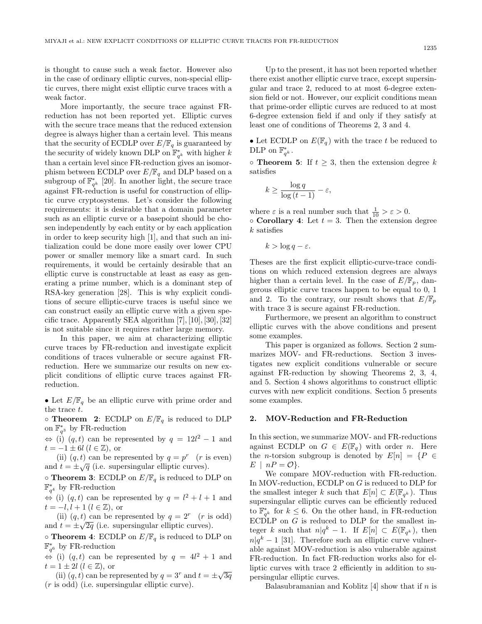is thought to cause such a weak factor. However also in the case of ordinary elliptic curves, non-special elliptic curves, there might exist elliptic curve traces with a weak factor.

More importantly, the secure trace against FRreduction has not been reported yet. Elliptic curves with the secure trace means that the reduced extension degree is always higher than a certain level. This means that the security of ECDLP over  $E/\mathbb{F}_q$  is guaranteed by the security of widely known DLP on  $\mathbb{F}_{q^k}^*$  with higher  $k$ than a certain level since FR-reduction gives an isomorphism between ECDLP over  $E/\mathbb{F}_q$  and DLP based on a subgroup of  $\mathbb{F}_{q^k}^*$  [20]. In another light, the secure trace against FR-reduction is useful for construction of elliptic curve cryptosystems. Let's consider the following requirements: it is desirable that a domain parameter such as an elliptic curve or a basepoint should be chosen independently by each entity or by each application in order to keep security high [1], and that such an initialization could be done more easily over lower CPU power or smaller memory like a smart card. In such requirements, it would be certainly desirable that an elliptic curve is constructable at least as easy as generating a prime number, which is a dominant step of RSA-key generation [28]. This is why explicit conditions of secure elliptic-curve traces is useful since we can construct easily an elliptic curve with a given specific trace. Apparently SEA algorithm [7], [10], [30], [32] is not suitable since it requires rather large memory.

In this paper, we aim at characterizing elliptic curve traces by FR-reduction and investigate explicit conditions of traces vulnerable or secure against FRreduction. Here we summarize our results on new explicit conditions of elliptic curve traces against FRreduction.

• Let  $E/\mathbb{F}_q$  be an elliptic curve with prime order and the trace t.

 $\circ$  **Theorem** 2: ECDLP on  $E/\mathbb{F}_q$  is reduced to DLP on  $\mathbb{F}_{q^3}^*$  by FR-reduction

 $\Leftrightarrow$  (i)  $(q, t)$  can be represented by  $q = 12l^2 - 1$  and  $t = -1 \pm 6l \ (l \in \mathbb{Z})$ , or

(ii)  $(q, t)$  can be represented by  $q = p^r$  (*r* is even) and  $t = \pm \sqrt{q}$  (i.e. supersingular elliptic curves).

 $\circ$  **Theorem 3**: ECDLP on  $E/\mathbb{F}_q$  is reduced to DLP on  $\mathbb{F}_{q^4}^*$  by FR-reduction

 $\Leftrightarrow$  (i)  $(q, t)$  can be represented by  $q = l^2 + l + 1$  and  $t = -l, l + 1$   $(l \in \mathbb{Z})$ , or

(ii)  $(q, t)$  can be represented by  $q = 2^r$  (*r* is odd) and  $t = \pm \sqrt{2q}$  (i.e. supersingular elliptic curves).

 $\circ$  **Theorem 4**: ECDLP on  $E/\mathbb{F}_q$  is reduced to DLP on  $\mathbb{F}_{q^6}^*$  by FR-reduction

 $\Leftrightarrow$  (i)  $(q, t)$  can be represented by  $q = 4l^2 + 1$  and  $t = 1 \pm 2l$   $(l \in \mathbb{Z})$ , or

(ii)  $(q, t)$  can be represented by  $q = 3^r$  and  $t = \pm \sqrt{3q}$ (r is odd) (i.e. supersingular elliptic curve).

Up to the present, it has not been reported whether there exist another elliptic curve trace, except supersingular and trace 2, reduced to at most 6-degree extension field or not. However, our explicit conditions mean that prime-order elliptic curves are reduced to at most 6-degree extension field if and only if they satisfy at least one of conditions of Theorems 2, 3 and 4.

• Let ECDLP on  $E(\mathbb{F}_q)$  with the trace t be reduced to DLP on  $\mathbb{F}_{q^k}^*$ .

 $\circ$  **Theorem 5**: If  $t \geq 3$ , then the extension degree k satisfies

$$
k \ge \frac{\log q}{\log (t-1)} - \varepsilon,
$$

where  $\varepsilon$  is a real number such that  $\frac{1}{10} > \varepsilon > 0$ .  $\circ$  **Corollary 4**: Let  $t = 3$ . Then the extension degree k satisfies

$$
k > \log q - \varepsilon.
$$

Theses are the first explicit elliptic-curve-trace conditions on which reduced extension degrees are always higher than a certain level. In the case of  $E/\mathbb{F}_p$ , dangerous elliptic curve traces happen to be equal to 0, 1 and 2. To the contrary, our result shows that  $E/\mathbb{F}_p$ with trace 3 is secure against FR-reduction.

Furthermore, we present an algorithm to construct elliptic curves with the above conditions and present some examples.

This paper is organized as follows. Section 2 summarizes MOV- and FR-reductions. Section 3 investigates new explicit conditions vulnerable or secure against FR-reduction by showing Theorems 2, 3, 4, and 5. Section 4 shows algorithms to construct elliptic curves with new explicit conditions. Section 5 presents some examples.

#### **2. MOV-Reduction and FR-Reduction**

In this section, we summarize MOV- and FR-reductions against ECDLP on  $G \in E(\mathbb{F}_q)$  with order n. Here the *n*-torsion subgroup is denoted by  $E[n] = \{P \in$  $E \mid nP = \mathcal{O}$ .

We compare MOV-reduction with FR-reduction. In MOV-reduction, ECDLP on G is reduced to DLP for the smallest integer k such that  $E[n] \subset E(\mathbb{F}_{q^k})$ . Thus supersingular elliptic curves can be efficiently reduced to  $\mathbb{F}_{q^k}^*$  for  $k \leq 6$ . On the other hand, in FR-reduction ECDLP on  $G$  is reduced to DLP for the smallest integer k such that  $n|q^k - 1$ . If  $E[n] \subset E(\mathbb{F}_{q^k})$ , then  $n|q^k - 1|$  [31]. Therefore such an elliptic curve vulnerable against MOV-reduction is also vulnerable against FR-reduction. In fact FR-reduction works also for elliptic curves with trace 2 efficiently in addition to supersingular elliptic curves.

Balasubramanian and Koblitz  $[4]$  show that if n is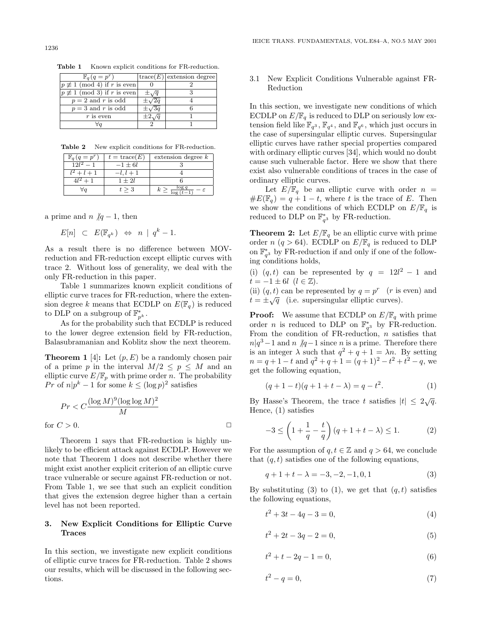**Table 1** Known explicit conditions for FR-reduction.

| $\mathbb{F}_q(q=p^r)$                  |                 | $trace(E)$ extension degree |
|----------------------------------------|-----------------|-----------------------------|
| $p \not\equiv 1 \pmod{4}$ if r is even |                 |                             |
| $p \not\equiv 1 \pmod{3}$ if r is even | $\pm \sqrt{q}$  |                             |
| $p=2$ and r is odd                     | $\pm \sqrt{2}q$ |                             |
| $p=3$ and r is odd                     | $\pm\sqrt{3}q$  |                             |
| $r$ is even                            | $\pm 2.7$       |                             |
| ∀a                                     |                 |                             |

**Table 2** New explicit conditions for FR-reduction.

| $= n^r$<br>⊮ a | $t = \text{trace}(E)$ | extension degree $k$ |
|----------------|-----------------------|----------------------|
|                | $-1 \pm 6l$           |                      |
| $l^2 + l + 1$  | $-l, l+1$             |                      |
|                | $1\pm 2l$             |                      |
|                | $t \geq 3$            |                      |

a prime and  $n \nmid q - 1$ , then

$$
E[n] \ \subset \ E(\mathbb{F}_{q^k}) \ \Leftrightarrow \ n \ | \ q^k - 1.
$$

As a result there is no difference between MOVreduction and FR-reduction except elliptic curves with trace 2. Without loss of generality, we deal with the only FR-reduction in this paper.

Table 1 summarizes known explicit conditions of elliptic curve traces for FR-reduction, where the extension degree k means that ECDLP on  $E(\mathbb{F}_q)$  is reduced to DLP on a subgroup of  $\mathbb{F}_{p^k}^*$ .

As for the probability such that ECDLP is reduced to the lower degree extension field by FR-reduction, Balasubramanian and Koblitz show the next theorem.

**Theorem 1** [4]: Let  $(p, E)$  be a randomly chosen pair of a prime p in the interval  $M/2 \leq p \leq M$  and an elliptic curve  $E/\mathbb{F}_p$  with prime order n. The probability *Pr* of  $n|p^k - 1$  for some  $k \leq (\log p)^2$  satisfies

$$
Pr < C \frac{(\log M)^9 (\log \log M)^2}{M}
$$

for  $C > 0$ .

Theorem 1 says that FR-reduction is highly unlikely to be efficient attack against ECDLP. However we note that Theorem 1 does not describe whether there might exist another explicit criterion of an elliptic curve trace vulnerable or secure against FR-reduction or not. From Table 1, we see that such an explicit condition that gives the extension degree higher than a certain level has not been reported.

## **3. New Explicit Conditions for Elliptic Curve Traces**

In this section, we investigate new explicit conditions of elliptic curve traces for FR-reduction. Table 2 shows our results, which will be discussed in the following sections.

## 3.1 New Explicit Conditions Vulnerable against FR-Reduction

In this section, we investigate new conditions of which ECDLP on  $E/\mathbb{F}_q$  is reduced to DLP on seriously low extension field like  $\mathbb{F}_{q^3}$ ,  $\mathbb{F}_{q^4}$ , and  $\mathbb{F}_{q^6}$ , which just occurs in the case of supersingular elliptic curves. Supersingular elliptic curves have rather special properties compared with ordinary elliptic curves [34], which would no doubt cause such vulnerable factor. Here we show that there exist also vulnerable conditions of traces in the case of ordinary elliptic curves.

Let  $E/\mathbb{F}_q$  be an elliptic curve with order  $n =$  $\#E(\mathbb{F}_q) = q + 1 - t$ , where t is the trace of E. Then we show the conditions of which ECDLP on  $E/\mathbb{F}_q$  is reduced to DLP on  $\mathbb{F}_{q^3}^*$  by FR-reduction.

**Theorem 2:** Let  $E/\mathbb{F}_q$  be an elliptic curve with prime order n (q > 64). ECDLP on  $E/\mathbb{F}_q$  is reduced to DLP on  $\mathbb{F}_{q^3}^*$  by FR-reduction if and only if one of the following conditions holds,

(i)  $(q, t)$  can be represented by  $q = 12l^2 - 1$  and  $t = -1 \pm 6l \ \ (l \in \mathbb{Z}).$ 

(ii)  $(q, t)$  can be represented by  $q = p^r$  (r is even) and  $t = \pm \sqrt{q}$  (i.e. supersingular elliptic curves).

**Proof:** We assume that ECDLP on  $E/\mathbb{F}_q$  with prime order *n* is reduced to DLP on  $\mathbb{F}_{q^3}^*$  by FR-reduction. From the condition of FR-reduction,  $n$  satisfies that  $n|q^3-1$  and  $n \nmid q-1$  since n is a prime. Therefore there is an integer  $\lambda$  such that  $q^2 + q + 1 = \lambda n$ . By setting  $n = q + 1 - t$  and  $q^2 + q + 1 = (q + 1)^2 - t^2 + t^2 - q$ , we get the following equation,

$$
(q+1-t)(q+1+t-\lambda) = q - t^2.
$$
 (1)

By Hasse's Theorem, the trace t satisfies  $|t| \leq 2\sqrt{q}$ . Hence, (1) satisfies

$$
-3 \le \left(1 + \frac{1}{q} - \frac{t}{q}\right)(q + 1 + t - \lambda) \le 1.
$$
 (2)

For the assumption of  $q, t \in \mathbb{Z}$  and  $q > 64$ , we conclude that  $(q, t)$  satisfies one of the following equations,

$$
q + 1 + t - \lambda = -3, -2, -1, 0, 1 \tag{3}
$$

By substituting (3) to (1), we get that  $(q, t)$  satisfies the following equations,

$$
t^2 + 3t - 4q - 3 = 0,\t\t(4)
$$

$$
t^2 + 2t - 3q - 2 = 0,\t\t(5)
$$

$$
t^2 + t - 2q - 1 = 0,\t\t(6)
$$

$$
t^2 - q = 0,\t\t(7)
$$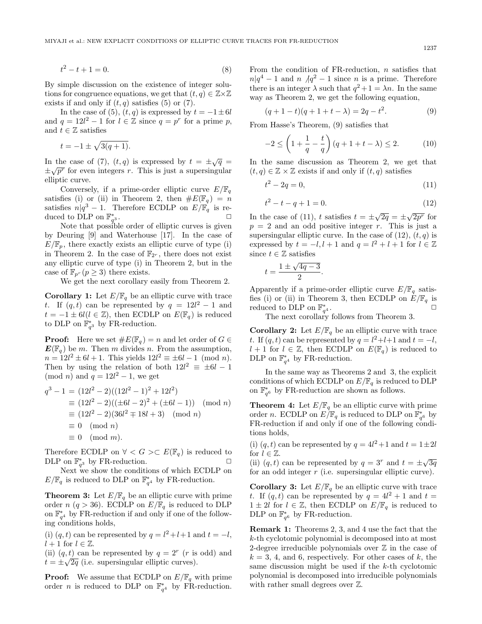By simple discussion on the existence of integer solutions for congruence equations, we get that  $(t, q) \in \mathbb{Z} \times \mathbb{Z}$ exists if and only if  $(t, q)$  satisfies  $(5)$  or  $(7)$ .

In the case of (5),  $(t, q)$  is expressed by  $t = -1 \pm 6l$ and  $q = 12l^2 - 1$  for  $l \in \mathbb{Z}$  since  $q = p^r$  for a prime p, and  $t \in \mathbb{Z}$  satisfies

$$
t = -1 \pm \sqrt{3(q+1)}.
$$

In the case of (7),  $(t, q)$  is expressed by  $t = \pm \sqrt{q}$  $\pm\sqrt{p^{r}}$  for even integers r. This is just a supersingular elliptic curve.

Conversely, if a prime-order elliptic curve  $E/\mathbb{F}_q$ satisfies (i) or (ii) in Theorem 2, then  $\#E(\mathbb{F}_q) = n$ satisfies  $n|q^3 - 1$ . Therefore ECDLP on  $E/\mathbb{F}_q$  is reduced to DLP on  $\mathbb{F}_{a^3}^*$ .  $q^3$  .

Note that possible order of elliptic curves is given by Deuring [9] and Waterhouse [17]. In the case of  $E/\mathbb{F}_p$ , there exactly exists an elliptic curve of type (i) in Theorem 2. In the case of  $\mathbb{F}_{2^r}$ , there does not exist any elliptic curve of type (i) in Theorem 2, but in the case of  $\mathbb{F}_{p^r}(p \geq 3)$  there exists.

We get the next corollary easily from Theorem 2.

**Corollary 1:** Let  $E/\mathbb{F}_q$  be an elliptic curve with trace t. If  $(q, t)$  can be represented by  $q = 12l^2 - 1$  and  $t = -1 \pm 6l(l \in \mathbb{Z})$ , then ECDLP on  $E(\mathbb{F}_q)$  is reduced to DLP on  $\mathbb{F}_{q^3}^*$  by FR-reduction.

**Proof:** Here we set  $\#E(\mathbb{F}_q) = n$  and let order of  $G \in$  $E(\mathbb{F}_q)$  be m. Then m divides n. From the assumption,  $n = 12l^2 \pm 6l + 1$ . This yields  $12l^2 \equiv \pm 6l - 1 \pmod{n}$ . Then by using the relation of both  $12l^2 \equiv \pm 6l - 1$ (mod *n*) and  $q = 12l^2 - 1$ , we get

$$
q3 - 1 = (12l2 - 2)((12l2 - 1)2 + 12l2)
$$
  
\n
$$
\equiv (12l2 - 2)((\pm 6l - 2)2 + (\pm 6l - 1)) \pmod{n}
$$
  
\n
$$
\equiv (12l2 - 2)(36l2 \mp 18l + 3) \pmod{n}
$$
  
\n
$$
\equiv 0 \pmod{n}
$$
  
\n
$$
\equiv 0 \pmod{m}.
$$

Therefore ECDLP on  $\forall < G > \subset E(\mathbb{F}_q)$  is reduced to DLP on  $\mathbb{F}_{q^3}^*$  by FR-reduction.  $\Box$ 

Next we show the conditions of which ECDLP on  $E/\mathbb{F}_q$  is reduced to DLP on  $\mathbb{F}_{q^4}^*$  by FR-reduction.

**Theorem 3:** Let  $E/\mathbb{F}_q$  be an elliptic curve with prime order n (q > 36). ECDLP on  $E/\mathbb{F}_q$  is reduced to DLP on  $\mathbb{F}_{q^4}^*$  by FR-reduction if and only if one of the following conditions holds,

(i)  $(q, t)$  can be represented by  $q = l^2 + l + 1$  and  $t = -l$ ,  $l + 1$  for  $l \in \mathbb{Z}$ .

(ii)  $(q, t)$  can be represented by  $q = 2^r$  (*r* is odd) and  $t = \pm \sqrt{2q}$  (i.e. supersingular elliptic curves).

**Proof:** We assume that ECDLP on  $E/\mathbb{F}_q$  with prime order *n* is reduced to DLP on  $\mathbb{F}_{q^4}^*$  by FR-reduction.

From the condition of FR-reduction,  $n$  satisfies that  $n|q^4 - 1$  and  $n \sqrt{q^2 - 1}$  since n is a prime. Therefore there is an integer  $\lambda$  such that  $q^2 + 1 = \lambda n$ . In the same way as Theorem 2, we get the following equation,

$$
(q+1-t)(q+1+t-\lambda) = 2q - t^2.
$$
 (9)

From Hasse's Theorem, (9) satisfies that

$$
-2 \le \left(1 + \frac{1}{q} - \frac{t}{q}\right)(q + 1 + t - \lambda) \le 2.
$$
 (10)

In the same discussion as Theorem 2, we get that  $(t, q) \in \mathbb{Z} \times \mathbb{Z}$  exists if and only if  $(t, q)$  satisfies

$$
t^2 - 2q = 0,\t(11)
$$

$$
x^2 - t - q + 1 = 0.\t(12)
$$

In the case of (11), t satisfies  $t = \pm \sqrt{2q} = \pm \sqrt{2p^r}$  for  $p = 2$  and an odd positive integer r. This is just a supersingular elliptic curve. In the case of  $(12)$ ,  $(t, q)$  is expressed by  $t = -l, l + 1$  and  $q = l^2 + l + 1$  for  $l \in \mathbb{Z}$ since  $t \in \mathbb{Z}$  satisfies

$$
t = \frac{1 \pm \sqrt{4q - 3}}{2}.
$$

t

Apparently if a prime-order elliptic curve  $E/\mathbb{F}_q$  satisfies (i) or (ii) in Theorem 3, then ECDLP on  $E/\mathbb{F}_q$  is reduced to DLP on  $\mathbb{F}_{q^4}^*$ .  $q^4$  .

The next corollary follows from Theorem 3.

**Corollary 2:** Let  $E/\mathbb{F}_q$  be an elliptic curve with trace t. If  $(q, t)$  can be represented by  $q = l^2+l+1$  and  $t = -l$ ,  $l + 1$  for  $l \in \mathbb{Z}$ , then ECDLP on  $E(\mathbb{F}_q)$  is reduced to DLP on  $\mathbb{F}_{q^4}^*$  by FR-reduction.

In the same way as Theorems 2 and 3, the explicit conditions of which ECDLP on  $E/\mathbb{F}_q$  is reduced to DLP on  $\mathbb{F}_{q^6}^*$  by FR-reduction are shown as follows.

**Theorem 4:** Let  $E/\mathbb{F}_q$  be an elliptic curve with prime order *n*. ECDLP on  $E/\mathbb{F}_q$  is reduced to DLP on  $\mathbb{F}_{q^6}^*$  by FR-reduction if and only if one of the following conditions holds,

(i)  $(q, t)$  can be represented by  $q = 4l^2 + 1$  and  $t = 1 \pm 2l$ for  $l \in \mathbb{Z}$ .

(ii)  $(q, t)$  can be represented by  $q = 3^r$  and  $t = \pm \sqrt{3q}$ for an odd integer  $r$  (i.e. supersingular elliptic curve).

**Corollary 3:** Let  $E/\mathbb{F}_q$  be an elliptic curve with trace t. If  $(q, t)$  can be represented by  $q = 4l^2 + 1$  and  $t =$  $1 \pm 2l$  for  $l \in \mathbb{Z}$ , then ECDLP on  $E/\mathbb{F}_q$  is reduced to DLP on  $\mathbb{F}_{q^6}^*$  by FR-reduction.

**Remark 1:** Theorems 2, 3, and 4 use the fact that the k-th cyclotomic polynomial is decomposed into at most 2-degree irreducible polynomials over  $\mathbb Z$  in the case of  $k = 3, 4, \text{ and } 6, \text{ respectively.}$  For other cases of k, the same discussion might be used if the  $k$ -th cyclotomic polynomial is decomposed into irreducible polynomials with rather small degrees over <sup>Z</sup>.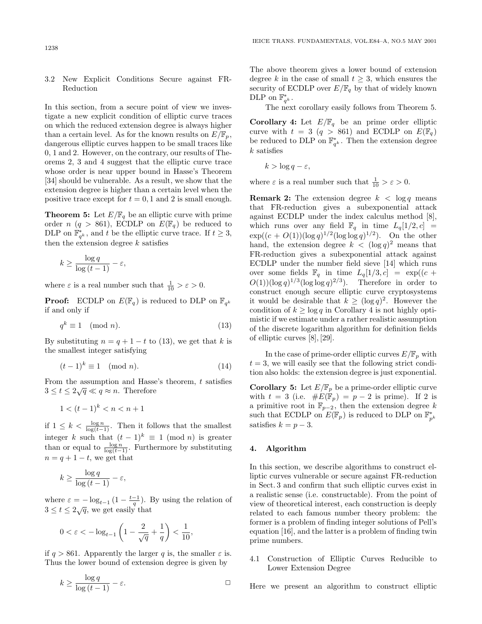## 3.2 New Explicit Conditions Secure against FR-Reduction

In this section, from a secure point of view we investigate a new explicit condition of elliptic curve traces on which the reduced extension degree is always higher than a certain level. As for the known results on  $E/\mathbb{F}_p$ , dangerous elliptic curves happen to be small traces like 0, 1 and 2. However, on the contrary, our results of Theorems 2, 3 and 4 suggest that the elliptic curve trace whose order is near upper bound in Hasse's Theorem [34] should be vulnerable. As a result, we show that the extension degree is higher than a certain level when the positive trace except for  $t = 0, 1$  and 2 is small enough.

**Theorem 5:** Let  $E/\mathbb{F}_q$  be an elliptic curve with prime order  $n \ (q > 861)$ , ECDLP on  $E(\mathbb{F}_q)$  be reduced to DLP on  $\mathbb{F}_{q^k}^*$ , and t be the elliptic curve trace. If  $t \geq 3$ , then the extension degree  $k$  satisfies

$$
k \ge \frac{\log q}{\log (t-1)} - \varepsilon,
$$

where  $\varepsilon$  is a real number such that  $\frac{1}{10} > \varepsilon > 0$ .

**Proof:** ECDLP on  $E(\mathbb{F}_q)$  is reduced to DLP on  $\mathbb{F}_{q^k}$ if and only if

$$
q^k \equiv 1 \pmod{n}.\tag{13}
$$

By substituting  $n = q + 1 - t$  to (13), we get that k is the smallest integer satisfying

$$
(t-1)^k \equiv 1 \pmod{n}.\tag{14}
$$

From the assumption and Hasse's theorem,  $t$  satisfies From the assumption and riasset  $3 \le t \le 2\sqrt{q} \ll q \approx n$ . Therefore

$$
1 < (t-1)^k < n < n+1
$$

if  $1 \n≤ k < \frac{\log n}{\log(t-1)}$ . Then it follows that the smallest integer k such that  $(t-1)^k \equiv 1 \pmod{n}$  is greater than or equal to  $\frac{\log n}{\log(t-1)}$ . Furthermore by substituting  $n = q + 1 - t$ , we get that

$$
k \ge \frac{\log q}{\log (t-1)} - \varepsilon,
$$

where  $\varepsilon = -\log_{t-1} (1 - \frac{t-1}{q})$ . By using the relation of  $3 \le t \le 2\sqrt{q}$ , we get easily that

$$
0 < \varepsilon < -\log_{t-1}\left(1 - \frac{2}{\sqrt{q}} + \frac{1}{q}\right) < \frac{1}{10},
$$

if  $q > 861$ . Apparently the larger q is, the smaller  $\varepsilon$  is. Thus the lower bound of extension degree is given by

$$
k \ge \frac{\log q}{\log (t-1)} - \varepsilon.
$$

The above theorem gives a lower bound of extension degree k in the case of small  $t \geq 3$ , which ensures the security of ECDLP over  $E/\mathbb{F}_q$  by that of widely known DLP on  $\mathbb{F}_{q^k}^*$ .

The next corollary easily follows from Theorem 5.

**Corollary 4:** Let  $E/\mathbb{F}_q$  be an prime order elliptic curve with  $t = 3$  (q > 861) and ECDLP on  $E(\mathbb{F}_q)$ be reduced to DLP on  $\mathbb{F}_{q^k}^*$ . Then the extension degree  $k$  satisfies

 $k > \log q - \varepsilon$ ,

where  $\varepsilon$  is a real number such that  $\frac{1}{10} > \varepsilon > 0$ .

**Remark 2:** The extension degree  $k < \log q$  means that FR-reduction gives a subexponential attack against ECDLP under the index calculus method [8], which runs over any field  $\mathbb{F}_q$  in time  $L_q[1/2, c] =$  $\exp((c + O(1))(\log q)^{1/2}(\log \log q)^{1/2})$ . On the other hand, the extension degree  $k < (\log q)^2$  means that FR-reduction gives a subexponential attack against ECDLP under the number field sieve [14] which runs over some fields  $\mathbb{F}_q$  in time  $L_q[1/3, c] = \exp((c +$  $O(1)$ (log q)<sup>1/3</sup>(log log q)<sup>2/3</sup>). Therefore in order to construct enough secure elliptic curve cryptosystems it would be desirable that  $k \geq (\log q)^2$ . However the condition of  $k \geq \log q$  in Corollary 4 is not highly optimistic if we estimate under a rather realistic assumption of the discrete logarithm algorithm for definition fields of elliptic curves [8], [29].

In the case of prime-order elliptic curves  $E/\mathbb{F}_p$  with  $t = 3$ , we will easily see that the following strict condition also holds: the extension degree is just exponential.

**Corollary 5:** Let  $E/\mathbb{F}_p$  be a prime-order elliptic curve with  $t = 3$  (i.e.  $\#E(\mathbb{F}_p) = p - 2$  is prime). If 2 is a primitive root in  $\mathbb{F}_{p-2}$ , then the extension degree k such that ECDLP on  $E(\mathbb{F}_p)$  is reduced to DLP on  $\mathbb{F}_{p^k}^*$ satisfies  $k = p - 3$ .

## **4. Algorithm**

In this section, we describe algorithms to construct elliptic curves vulnerable or secure against FR-reduction in Sect. 3 and confirm that such elliptic curves exist in a realistic sense (i.e. constructable). From the point of view of theoretical interest, each construction is deeply related to each famous number theory problem: the former is a problem of finding integer solutions of Pell's equation [16], and the latter is a problem of finding twin prime numbers.

4.1 Construction of Elliptic Curves Reducible to Lower Extension Degree

Here we present an algorithm to construct elliptic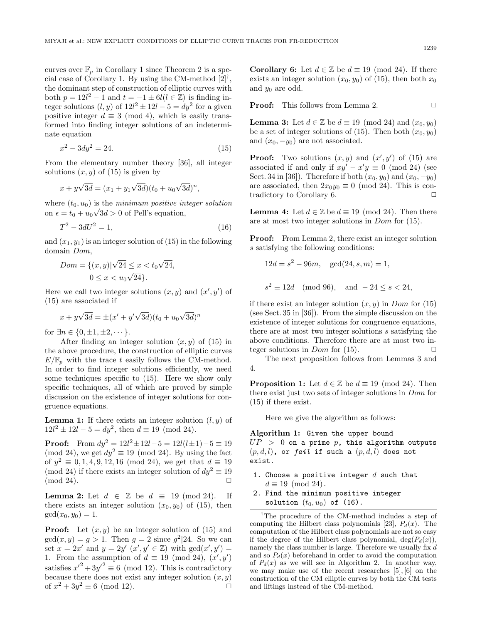curves over  $\mathbb{F}_n$  in Corollary 1 since Theorem 2 is a special case of Corollary 1. By using the CM-method  $[2]^{\dagger}$ , the dominant step of construction of elliptic curves with both  $p = 12l^2 - 1$  and  $t = -1 \pm 6l(l \in \mathbb{Z})$  is finding integer solutions  $(l, y)$  of  $12l^2 \pm 12l - 5 = dy^2$  for a given positive integer  $d \equiv 3 \pmod{4}$ , which is easily transformed into finding integer solutions of an indeterminate equation

$$
x^2 - 3dy^2 = 24.\t(15)
$$

From the elementary number theory [36], all integer solutions  $(x, y)$  of  $(15)$  is given by

$$
x + y\sqrt{3d} = (x_1 + y_1\sqrt{3d})(t_0 + u_0\sqrt{3d})^n,
$$

where  $(t_0, u_0)$  is the minimum positive integer solution on  $\epsilon = t_0 + u_0 \sqrt{3d} > 0$  of Pell's equation,

$$
T^2 - 3dU^2 = 1,\t(16)
$$

and  $(x_1, y_1)$  is an integer solution of  $(15)$  in the following domain Dom,

$$
Dom = \{(x, y) | \sqrt{24} \le x < t_0 \sqrt{24}, \, 0 \le x < u_0 \sqrt{24} \}.
$$

Here we call two integer solutions  $(x, y)$  and  $(x', y')$  of (15) are associated if

$$
x + y\sqrt{3d} = \pm (x' + y'\sqrt{3d})(t_0 + u_0\sqrt{3d})^n
$$

for  $\exists n \in \{0, \pm 1, \pm 2, \cdots\}.$ 

After finding an integer solution  $(x, y)$  of (15) in the above procedure, the construction of elliptic curves  $E/\mathbb{F}_p$  with the trace t easily follows the CM-method. In order to find integer solutions efficiently, we need some techniques specific to (15). Here we show only specific techniques, all of which are proved by simple discussion on the existence of integer solutions for congruence equations.

**Lemma 1:** If there exists an integer solution  $(l, y)$  of  $12l^2 \pm 12l - 5 = dy^2$ , then  $d \equiv 19 \pmod{24}$ .

**Proof:** From  $dy^2 = 12l^2 \pm 12l - 5 = 12l(l \pm 1) - 5 \equiv 19$ (mod 24), we get  $dy^2 \equiv 19 \pmod{24}$ . By using the fact of  $y^2 \equiv 0, 1, 4, 9, 12, 16 \pmod{24}$ , we get that  $d \equiv 19$ (mod 24) if there exists an integer solution of  $dy^2 \equiv 19$  $(\text{mod } 24).$ 

**Lemma 2:** Let  $d \in \mathbb{Z}$  be  $d \equiv 19 \pmod{24}$ . If there exists an integer solution  $(x_0, y_0)$  of (15), then  $gcd(x_0, y_0) = 1.$ 

**Proof:** Let  $(x, y)$  be an integer solution of  $(15)$  and  $gcd(x, y) = g > 1$ . Then  $g = 2$  since  $g^2/24$ . So we can set  $x = 2x'$  and  $y = 2y'$   $(x', y' \in \mathbb{Z})$  with  $gcd(x', y') =$ 1. From the assumption of  $d \equiv 19 \pmod{24}$ ,  $(x', y')$ satisfies  $x'^2 + 3y'^2 \equiv 6 \pmod{12}$ . This is contradictory because there does not exist any integer solution  $(x, y)$ of  $x^2 + 3y^2 \equiv 6 \pmod{12}$ . □

**Corollary 6:** Let  $d \in \mathbb{Z}$  be  $d \equiv 19 \pmod{24}$ . If there exists an integer solution  $(x_0, y_0)$  of (15), then both  $x_0$ and  $y_0$  are odd.

**Proof:** This follows from Lemma 2. 
$$
\Box
$$

**Lemma 3:** Let  $d \in \mathbb{Z}$  be  $d \equiv 19 \pmod{24}$  and  $(x_0, y_0)$ be a set of integer solutions of (15). Then both  $(x_0, y_0)$ and  $(x_0, -y_0)$  are not associated.

**Proof:** Two solutions  $(x, y)$  and  $(x', y')$  of (15) are associated if and only if  $xy' - x'y \equiv 0 \pmod{24}$  (see Sect. 34 in [36]). Therefore if both  $(x_0, y_0)$  and  $(x_0, -y_0)$ are associated, then  $2x_0y_0 \equiv 0 \pmod{24}$ . This is contradictory to Corollary 6.  $\Box$ 

**Lemma 4:** Let  $d \in \mathbb{Z}$  be  $d \equiv 19 \pmod{24}$ . Then there are at most two integer solutions in Dom for (15).

**Proof:** From Lemma 2, there exist an integer solution s satisfying the following conditions:

$$
12d = s^2 - 96m
$$
,  $gcd(24, s, m) = 1$ ,  
 $s^2 \equiv 12d \pmod{96}$ , and  $-24 \le s < 24$ ,

if there exist an integer solution  $(x, y)$  in Dom for (15) (see Sect.  $35$  in  $[36]$ ). From the simple discussion on the existence of integer solutions for congruence equations, there are at most two integer solutions s satisfying the above conditions. Therefore there are at most two integer solutions in  $Dom$  for (15).  $\Box$ 

The next proposition follows from Lemmas 3 and 4.

**Proposition 1:** Let  $d \in \mathbb{Z}$  be  $d \equiv 19 \pmod{24}$ . Then there exist just two sets of integer solutions in Dom for (15) if there exist.

Here we give the algorithm as follows:

**Algorithm 1:** Given the upper bound  $UP > 0$  on a prime p, this algorithm outputs  $(p, d, l)$ , or fail if such a  $(p, d, l)$  does not exist.

- 1. Choose a positive integer  $d$  such that  $d \equiv 19 \pmod{24}$ .
- 2. Find the minimum positive integer solution  $(t_0, u_0)$  of  $(16)$ .

<sup>†</sup>The procedure of the CM-method includes a step of computing the Hilbert class polynomials [23],  $P_d(x)$ . The computation of the Hilbert class polynomials are not so easy if the degree of the Hilbert class polynomial,  $deg(P_d(x))$ , namely the class number is large. Therefore we usually fix d and so  $P_d(x)$  beforehand in order to avoid the computation of  $P_d(x)$  as we will see in Algorithm 2. In another way, we may make use of the recent researches [5], [6] on the construction of the CM elliptic curves by both the CM tests and liftings instead of the CM-method.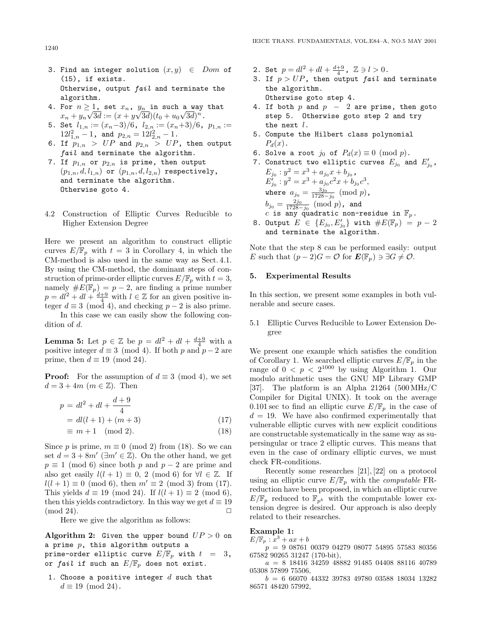- 3. Find an integer solution  $(x, y) \in Dom$  of (15), if exists. Otherwise, output fail and terminate the algorithm.
- 4. For  $n \geq 1$ , set  $x_n$ ,  $y_n$  in such a way that  $x_n + y_n \sqrt{3d} := (x + y\sqrt{3d})(t_0 + u_0\sqrt{3d})^n.$
- 5. Set  $l_{1,n} := (x_n-3)/6$ ,  $l_{2,n} := (x_n+3)/6$ ,  $p_{1,n} :=$  $12l_{1,n}^2-1$ , and  $p_{2,n}=12l_{2,n}^2-1$ .
- 6. If  $p_{1,n} > UP$  and  $p_{2,n} > UP$ , then output fail and terminate the algorithm.
- 7. If  $p_{1,n}$  or  $p_{2,n}$  is prime, then output  $(p_{1,n}, d, l_{1,n})$  or  $(p_{1,n}, d, l_{2,n})$  respectively, and terminate the algorithm. Otherwise goto 4.
- 4.2 Construction of Elliptic Curves Reducible to Higher Extension Degree

Here we present an algorithm to construct elliptic curves  $E/\mathbb{F}_p$  with  $t = 3$  in Corollary 4, in which the CM-method is also used in the same way as Sect. 4.1. By using the CM-method, the dominant steps of construction of prime-order elliptic curves  $E/\mathbb{F}_p$  with  $t=3$ , namely  $\#E(\mathbb{F}_p) = p-2$ , are finding a prime number  $p = dl^2 + dl + \frac{d+9}{4}$  with  $l \in \mathbb{Z}$  for an given positive integer  $d \equiv 3 \pmod{4}$ , and checking  $p-2$  is also prime.

In this case we can easily show the following condition of d.

**Lemma 5:** Let  $p \in \mathbb{Z}$  be  $p = dl^2 + dl + \frac{d+9}{4}$  with a positive integer  $d \equiv 3 \pmod{4}$ . If both p and  $p-2$  are prime, then  $d \equiv 19 \pmod{24}$ .

**Proof:** For the assumption of  $d \equiv 3 \pmod{4}$ , we set  $d = 3 + 4m$  ( $m \in \mathbb{Z}$ ). Then

$$
p = dl2 + dl + \frac{d+9}{4}
$$
  
= dl(l+1) + (m+3) (17)

$$
\equiv m+1 \pmod{2}.\tag{18}
$$

Since p is prime,  $m \equiv 0 \pmod{2}$  from (18). So we can set  $d = 3 + 8m'$  ( $\exists m' \in \mathbb{Z}$ ). On the other hand, we get  $p \equiv 1 \pmod{6}$  since both p and  $p-2$  are prime and also get easily  $l(l + 1) \equiv 0$ , 2 (mod 6) for  $\forall l \in \mathbb{Z}$ . If  $l(l + 1) \equiv 0 \pmod{6}$ , then  $m' \equiv 2 \pmod{3}$  from (17). This yields  $d \equiv 19 \pmod{24}$ . If  $l(l + 1) \equiv 2 \pmod{6}$ , then this yields contradictory. In this way we get  $d \equiv 19$  $(\text{mod } 24)$ .

Here we give the algorithm as follows:

**Algorithm 2:** Given the upper bound  $UP > 0$  on a prime  $p$ , this algorithm outputs a

prime-order elliptic curve  $E/\mathbb{F}_p$  with  $t = 3$ , or fail if such an  $E/\mathbb{F}_p$  does not exist.

1. Choose a positive integer  $d$  such that  $d \equiv 19 \pmod{24}$ .

- 2. Set  $p = dl^2 + dl + \frac{d+9}{4}$ ,  $\mathbb{Z} \ni l > 0$ .
- 3. If  $p > UP$ , then output fail and terminate the algorithm. Otherwise goto step 4.
- 4. If both  $p$  and  $p 2$  are prime, then goto step 5. Otherwise goto step 2 and try the next  $l$ .
- 5. Compute the Hilbert class polynomial  $P_d(x)$ .
- 6. Solve a root  $j_0$  of  $P_d(x) \equiv 0 \pmod{p}$ .
- 7. Construct two elliptic curves  $E_{j_0}$  and  $E^\prime_{j_0}$ ,  $E_{j_0}: y^2 = x^3 + a_{j_0}x + b_{j_0}$ ,

 $E'_{j_0}$ :  $y^2 = x^3 + a_{j_0}c^2x + b_{j_0}c^3$ , where  $a_{j_0} = \frac{3j_0}{1728 - j_0} \pmod{p}$ ,  $b_{j_0} = \frac{2j_0}{1728-j_0} \pmod{p}$ , and<br>c is any quadratic non-residue in  $\mathbb{F}_p$ .

8. Output  $E$   $\in$   $\{E_{j_0},E'_{j_0}\}$  with  $\#E(\mathbb{F}_p)$   $=$   $p-2$ and terminate the algorithm.

Note that the step 8 can be performed easily: output E such that  $(p-2)G = \mathcal{O}$  for  $\mathbf{E}(\mathbb{F}_p) \ni \exists G \neq \mathcal{O}$ .

#### **5. Experimental Results**

In this section, we present some examples in both vulnerable and secure cases.

5.1 Elliptic Curves Reducible to Lower Extension Degree

We present one example which satisfies the condition of Corollary 1. We searched elliptic curves  $E/\mathbb{F}_p$  in the range of  $0 \lt p \lt 2^{1000}$  by using Algorithm 1. Our modulo arithmetic uses the GNU MP Library GMP [37]. The platform is an Alpha 21264 (500 MHz/C Compiler for Digital UNIX). It took on the average 0.101 sec to find an elliptic curve  $E/\mathbb{F}_p$  in the case of  $d = 19$ . We have also confirmed experimentally that vulnerable elliptic curves with new explicit conditions are constructable systematically in the same way as supersingular or trace 2 elliptic curves. This means that even in the case of ordinary elliptic curves, we must check FR-conditions.

Recently some researches [21], [22] on a protocol using an elliptic curve  $E/\mathbb{F}_p$  with the *computable* FRreduction have been proposed, in which an elliptic curve  $E/\mathbb{F}_p$  reduced to  $\mathbb{F}_{p^k}$  with the computable lower extension degree is desired. Our approach is also deeply related to their researches.

## **Example 1:**

 $E/\mathbb{F}_p : x^3 + ax + b$ 

 $p = 9$  08761 00379 04279 08077 54895 57583 80356 67582 90265 31247 (170-bit),

 $a = 8$  18416 34259 48882 91485 04408 88116 40789 05308 57899 75506,

 $b = 6 66070 44332 39783 49780 03588 18034 13282$ 86571 48420 57992,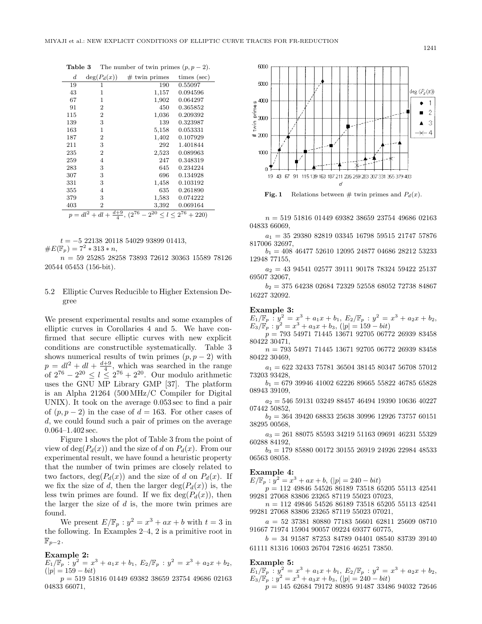|                                                                                                          |                |                 | \ <i>F        }        F</i> |  |
|----------------------------------------------------------------------------------------------------------|----------------|-----------------|------------------------------|--|
| $\boldsymbol{d}$                                                                                         | $\deg(P_d(x))$ | $#$ twin primes | times (sec)                  |  |
| 19                                                                                                       | 1              | 190             | 0.55097                      |  |
| 43                                                                                                       | 1              | 1,157           | 0.094596                     |  |
| 67                                                                                                       | 1              | 1,902           | 0.064297                     |  |
| 91                                                                                                       | $\overline{2}$ | 450             | 0.365852                     |  |
| 115                                                                                                      | $\overline{2}$ | 1,036           | 0.209392                     |  |
| 139                                                                                                      | 3              | 139             | 0.323987                     |  |
| 163                                                                                                      | 1              | 5,158           | 0.053331                     |  |
| 187                                                                                                      | 2              | 1,402           | 0.107929                     |  |
| 211                                                                                                      | 3              | 292             | 1.401844                     |  |
| 235                                                                                                      | $\overline{2}$ | 2,523           | 0.089963                     |  |
| 259                                                                                                      | 4              | 247             | 0.348319                     |  |
| 283                                                                                                      | 3              | 645             | 0.234224                     |  |
| 307                                                                                                      | 3              | 696             | 0.134928                     |  |
| 331                                                                                                      | 3              | 1,458           | 0.103192                     |  |
| 355                                                                                                      | 4              | 635             | 0.261890                     |  |
| 379                                                                                                      | 3              | 1,583           | 0.074222                     |  |
| 403                                                                                                      | $\overline{2}$ | 3,392           | 0.069164                     |  |
| $p = dl^2 + dl + \frac{d+9}{4}$ , (2 <sup>76</sup> )<br>$2^{20}$<br>$\leq l \leq 2^{76}$<br><b>220</b> ) |                |                 |                              |  |

**Table 3** The number of twin primes  $(p, p - 2)$ .

 $t = -5$  22138 20118 54029 93899 01413,  $\#E(\mathbb{F}_p) = 7^2 * 313 * n,$ 

 $n = 59$  25285 28258 73893 72612 30363 15589 78126 20544 05453 (156-bit).

# 5.2 Elliptic Curves Reducible to Higher Extension Degree

We present experimental results and some examples of elliptic curves in Corollaries 4 and 5. We have confirmed that secure elliptic curves with new explicit conditions are constructible systematically. Table 3 shows numerical results of twin primes  $(p, p - 2)$  with  $p = dl^2 + dl + \frac{d+9}{4}$ , which was searched in the range of  $2^{76} - 2^{20} \le l \le 2^{76} + 2^{20}$ . Our modulo arithmetic uses the GNU MP Library GMP [37]. The platform is an Alpha 21264 (500 MHz/C Compiler for Digital UNIX). It took on the average 0.053 sec to find a pair of  $(p, p - 2)$  in the case of  $d = 163$ . For other cases of d, we could found such a pair of primes on the average 0.064–1.402 sec.

Figure 1 shows the plot of Table 3 from the point of view of  $deg(P_d(x))$  and the size of d on  $P_d(x)$ . From our experimental result, we have found a heuristic property that the number of twin primes are closely related to two factors,  $deg(P_d(x))$  and the size of d on  $P_d(x)$ . If we fix the size of d, then the larger  $deg(P_d(x))$  is, the less twin primes are found. If we fix  $deg(P_d(x))$ , then the larger the size of  $d$  is, the more twin primes are found.

We present  $E/\mathbb{F}_p : y^2 = x^3 + ax + b$  with  $t = 3$  in the following. In Examples 2–4, 2 is a primitive root in  $\mathbb{F}_{p-2}$ .

### **Example 2:**

 $E_1/\mathbb{F}_p : y^2 = x^3 + a_1x + b_1, E_2/\mathbb{F}_p : y^2 = x^3 + a_2x + b_2,$  $(|p| = 159 - bit)$ 

 $p = 51951816014496938238659237544968602163$ 04833 66071,



 $n = 519$  51816 01449 69382 38659 23754 49686 02163 04833 66069,

 $a_1 = 35 29380 82819 03345 16798 59515 21747 57876$ 817006 32697,

 $b_1 = 408 46477 52610 12095 24877 04686 28212 53233$ 12948 77155,

 $a_2 = 43$  94541 02577 39111 90178 78324 59422 25137 69507 32067,

 $b_2 = 375 64238 02684 72329 52558 68052 72738 84867$ 16227 32092.

#### **Example 3:**

 $E_1/\mathbb{F}_p : y^2 = x^3 + a_1x + b_1, E_2/\mathbb{F}_p : y^2 = x^3 + a_2x + b_2,$  $E_3/\mathbb{F}_p : y^2 = x^3 + a_3x + b_3$ ,  $(|p| = 159 - bit)$ 

p = 793 54971 71445 13671 92705 06772 26939 83458 80422 30471,

 $n = 79354971714451367192705067722693983458$ 80422 30469,

 $a_1 = 622$  32433 75781 36504 38145 80347 56708 57012 73203 93428,

 $b_1 = 67939946410026222689665558224678565828$ 08943 39109,

 $a_2 = 546 59131 03249 88457 46494 19390 10636 40227$ 07442 50852,

 $b_2 = 364 39420 68833 25638 30996 12926 73757 60151$ 38295 00568,

 $a_3 = 261 88075 85593 34219 51163 09691 46231 55329$ 60288 84192,

 $b_3 = 179$  85880 00172 30155 26919 24926 22984 48533 06563 08058.

#### **Example 4:**

 $E/\mathbb{F}_p : y^2 = x^3 + ax + b, (|p| = 240 - bit)$ 

 $p = 112$  49846 54526 86189 73518 65205 55113 42541 99281 27068 83806 23265 87119 55023 07023,

n = 112 49846 54526 86189 73518 65205 55113 42541 99281 27068 83806 23265 87119 55023 07021,

 $a = 52$  37381 80880 77183 56601 62811 25609 08710 91667 71974 15904 90057 09224 69377 60775,

 $b = 3491587872538478904401085408373939140$ 61111 81316 10603 26704 72816 46251 73850.

#### **Example 5:**

 $E_1/\mathbb{F}_p : y^2 = x^3 + a_1x + b_1, E_2/\mathbb{F}_p : y^2 = x^3 + a_2x + b_2,$  $E_3/\mathbb{F}_p : y^2 = x^3 + a_3x + b_3$ ,  $(|p| = 240 - bit)$ 

 $p = 145 62684 79172 80895 91487 33486 94032 72646$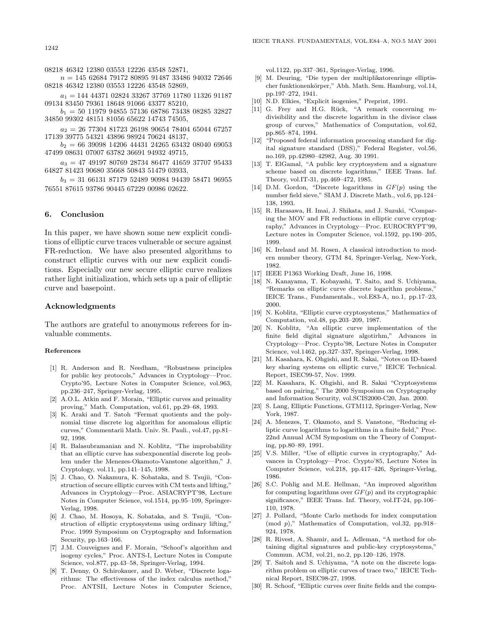08218 46342 12380 03553 12226 43548 52871,

 $n = 145 62684 79172 80895 91487 33486 94032 72646$ 08218 46342 12380 03553 12226 43548 52869,

 $a_1 = 144 44371 02824 33267 37769 11780 11326 91187$ 09134 83450 79361 18648 91066 43377 85210,

 $b_1 = 50 11979 94855 57136 68786 73438 08285 32827$ 34850 99302 48151 81056 65622 14743 74505,

 $a_2 = 26 77304 81723 26198 90654 78404 65044 67257$ 17139 39775 54321 43896 98924 70624 48137,

 $b_2 = 66$  39098 14206 44431 24265 63432 08040 69053 47499 08631 07007 63782 36691 94932 49715,

 $a_3 = 47 49197 80769 28734 86477 41659 37707 95433$ 64827 81423 90680 35668 50843 51479 03933,

 $b_3 = 31\;66131\;87179\;52489\;90984\;94439\;58471\;96955$ 76551 87615 93786 90445 67229 00986 02622.

## **6. Conclusion**

In this paper, we have shown some new explicit conditions of elliptic curve traces vulnerable or secure against FR-reduction. We have also presented algorithms to construct elliptic curves with our new explicit conditions. Especially our new secure elliptic curve realizes rather light initialization, which sets up a pair of elliptic curve and basepoint.

## **Acknowledgments**

The authors are grateful to anonymous referees for invaluable comments.

#### **References**

- [1] R. Anderson and R. Needham, "Robustness principles for public key protocols," Advances in Cryptology—Proc. Crypto'95, Lecture Notes in Computer Science, vol.963, pp.236–247, Springer-Verlag, 1995.
- [2] A.O.L. Atkin and F. Morain, "Elliptic curves and primality proving," Math. Computation, vol.61, pp.29–68, 1993.
- [3] K. Araki and T. Satoh "Fermat quotients and the polynomial time discrete log algorithm for anomalous elliptic curves," Commentarii Math. Univ. St. Pauli., vol.47, pp.81– 92, 1998.
- [4] R. Balasubramanian and N. Koblitz, "The improbability that an elliptic curve has subexponential discrete log problem under the Menezes-Okamoto-Vanstone algorithm," J. Cryptology, vol.11, pp.141–145, 1998.
- [5] J. Chao, O. Nakamura, K. Sobataka, and S. Tsujii, "Construction of secure elliptic curves with CM tests and lifting," Advances in Cryptology—Proc. ASIACRYPT'98, Lecture Notes in Computer Science, vol.1514, pp.95–109, Springer-Verlag, 1998.
- [6] J. Chao, M. Hosoya, K. Sobataka, and S. Tsujii, "Construction of elliptic cryptosystems using ordinary lifting," Proc. 1999 Symposium on Cryptography and Information Security, pp.163–166.
- [7] J.M. Couveignes and F. Morain, "Schoof's algorithm and isogeny cycles," Proc. ANTS-I, Lecture Notes in Compute Science, vol.877, pp.43–58, Springer-Verlag, 1994.
- [8] T. Denny, O. Schirokauer, and D. Weber, "Discrete logarithms: The effectiveness of the index calculus method," Proc. ANTSII, Lecture Notes in Computer Science,

vol.1122, pp.337–361, Springer-Verlag, 1996.

- [9] M. Deuring, "Die typen der multiplikatorenringe elliptischer funktionenkörper," Abh. Math. Sem. Hamburg, vol.14, pp.197–272, 1941.
- [10] N.D. Elkies, "Explicit isogenies," Preprint, 1991.
- [11] G. Frey and H.G. Rück, "A remark concerning mdivisibility and the discrete logarithm in the divisor class group of curves," Mathematics of Computation, vol.62, pp.865–874, 1994.
- [12] "Proposed federal information processing standard for digital signature standard (DSS)," Federal Register, vol.56, no.169, pp.42980–42982, Aug. 30 1991.
- [13] T. ElGamal, "A public key cryptosystem and a signature scheme based on discrete logarithms," IEEE Trans. Inf. Theory, vol.IT-31, pp.469–472, 1985.
- [14] D.M. Gordon, "Discrete logarithms in  $GF(p)$  using the number field sieve," SIAM J. Discrete Math., vol.6, pp.124– 138, 1993.
- [15] R. Harasawa, H. Imai, J. Shikata, and J. Suzuki, "Comparing the MOV and FR reductions in elliptic curve cryptography," Advances in Cryptology—Proc. EUROCRYPT'99, Lecture notes in Computer Science, vol.1592, pp.190–205, 1999.
- [16] K. Ireland and M. Rosen, A classical introduction to modern number theory, GTM 84, Springer-Verlag, New-York, 1982.
- [17] IEEE P1363 Working Draft, June 16, 1998.
- [18] N. Kanayama, T. Kobayashi, T. Saito, and S. Uchiyama, "Remarks on elliptic curve discrete logarithm problems," IEICE Trans., Fundamentals., vol.E83-A, no.1, pp.17–23, 2000.
- [19] N. Koblitz, "Elliptic curve cryptosystems," Mathematics of Computation, vol.48, pp.203–209, 1987.
- [20] N. Koblitz, "An elliptic curve implementation of the finite field digital signature algotirhm," Advances in Cryptology—Proc. Crypto'98, Lecture Notes in Computer Science, vol.1462, pp.327–337, Springer-Verlag, 1998.
- [21] M. Kasahara, K. Ohgishi, and R. Sakai, "Notes on ID-based key sharing systems on elliptic curve," IEICE Technical. Report, ISEC99-57, Nov. 1999.
- [22] M. Kasahara, K. Ohgishi, and R. Sakai "Cryptosystems based on pairing," The 2000 Symposium on Cryptography and Information Security, vol.SCIS2000-C20, Jan. 2000.
- [23] S. Lang, Elliptic Functions, GTM112, Springer-Verlag, New York, 1987.
- [24] A. Menezes, T. Okamoto, and S. Vanstone, "Reducing elliptic curve logarithms to logarithms in a finite field," Proc. 22nd Annual ACM Symposium on the Theory of Computing, pp.80–89, 1991.
- [25] V.S. Miller, "Use of elliptic curves in cryptography," Advances in Cryptology—Proc. Crypto'85, Lecture Notes in Computer Science, vol.218, pp.417–426, Springer-Verlag, 1986.
- [26] S.C. Pohlig and M.E. Hellman, "An improved algorithm for computing logarithms over  $GF(p)$  and its cryptographic significance," IEEE Trans. Inf. Theory, vol.IT-24, pp.106– 110, 1978.
- [27] J. Pollard, "Monte Carlo methods for index computation (mod p)," Mathematics of Computation, vol.32, pp.918– 924, 1978.
- [28] R. Rivest, A. Shamir, and L. Adleman, "A method for obtaining digital signatures and public-key cryptosystems," Commun. ACM, vol.21, no.2, pp.120–126, 1978.
- [29] T. Saitoh and S. Uchiyama, "A note on the discrete logarithm problem on elliptic curves of trace two," IEICE Technical Report, ISEC98-27, 1998.
- [30] R. Schoof, "Elliptic curves over finite fields and the compu-